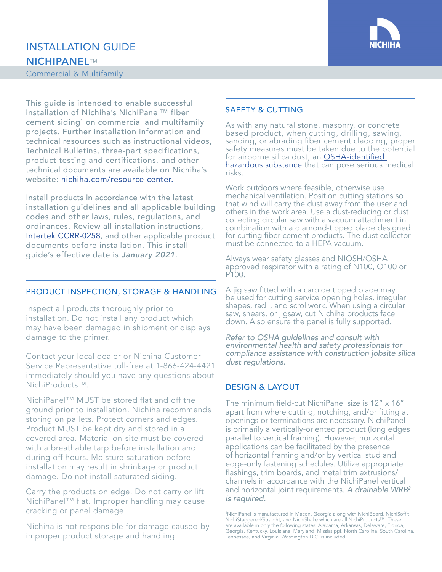

# INSTALLATION GUIDE NICHIPANEL™

Commercial & Multifamily

This guide is intended to enable successful installation of Nichiha's NichiPanel™ fiber cement siding<sup>1</sup> on commercial and multifamily projects. Further installation information and technical resources such as instructional videos, Technical Bulletins, three-part specifications, product testing and certifications, and other technical documents are available on Nichiha's website: [nichiha.com/resource-](http://nichiha.com/resource-center)center.

Install products in accordance with the latest installation guidelines and all applicable building codes and other laws, rules, regulations, and ordinances. Review all installation instructions, [Intertek CCRR-0258](https://www.nichiha.com/docs/Intertek-Code-Compliance-CCRR-0258-NichiProducts.pdf), and other applicable product documents before installation. This install guide's effective date is *January 2021*.

## PRODUCT INSPECTION, STORAGE & HANDLING

Inspect all products thoroughly prior to installation. Do not install any product which may have been damaged in shipment or displays damage to the primer.

Contact your local dealer or Nichiha Customer Service Representative toll-free at 1-866-424-4421 immediately should you have any questions about NichiProducts™.

NichiPanel™ MUST be stored flat and off the ground prior to installation. Nichiha recommends storing on pallets. Protect corners and edges. Product MUST be kept dry and stored in a covered area. Material on-site must be covered with a breathable tarp before installation and during off hours. Moisture saturation before installation may result in shrinkage or product damage. Do not install saturated siding.

Carry the products on edge. Do not carry or lift NichiPanel™ flat. Improper handling may cause cracking or panel damage.

Nichiha is not responsible for damage caused by improper product storage and handling.

# SAFETY & CUTTING

As with any natural stone, masonry, or concrete based product, when cutting, drilling, sawing, sanding, or abrading fiber cement cladding, proper safety measures must be taken due to the potential for airborne silica dust, an <u>OSHA-identified </u> [hazardous substance](https://www.osha.gov/silica-crystalline) that can pose serious medical risks.

Work outdoors where feasible, otherwise use mechanical ventilation. Position cutting stations so that wind will carry the dust away from the user and others in the work area. Use a dust-reducing or dust collecting circular saw with a vacuum attachment in combination with a diamond-tipped blade designed for cutting fiber cement products. The dust collector must be connected to a HEPA vacuum.

Always wear safety glasses and NIOSH/OSHA approved respirator with a rating of N100, O100 or P100.

A jig saw fitted with a carbide tipped blade may be used for cutting service opening holes, irregular shapes, radii, and scrollwork. When using a circular saw, shears, or jigsaw, cut Nichiha products face down. Also ensure the panel is fully supported.

*Refer to OSHA guidelines and consult with environmental health and safety professionals for compliance assistance with construction jobsite silica dust regulations.* 

## DESIGN & LAYOUT

The minimum field-cut NichiPanel size is 12" x 16" apart from where cutting, notching, and/or fitting at openings or terminations are necessary. NichiPanel is primarily a vertically-oriented product (long edges parallel to vertical framing). However, horizontal applications can be facilitated by the presence of horizontal framing and/or by vertical stud and edge-only fastening schedules. Utilize appropriate flashings, trim boards, and metal trim extrusions/ channels in accordance with the NichiPanel vertical and horizontal joint requirements. *A drainable WRB2 is required.*

1 NichiPanel is manufactured in Macon, Georgia along with NichiBoard, NichiSoffit, NichiStaggered/Straight, and NichiShake which are all NichiProducts™. These are available in only the following states: Alabama, Arkansas, Delaware, Florida, Georgia, Kentucky, Louisiana, Maryland, Mississippi, North Carolina, South Carolina, Tennessee, and Virginia. Washington D.C. is included.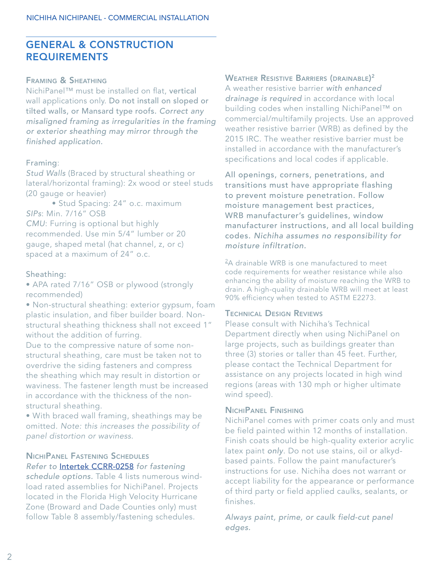# $\overline{a}$ GENERAL & CONSTRUCTION REQUIREMENTS

## Framing & Sheathing

NichiPanel™ must be installed on flat, vertical wall applications only. Do not install on sloped or tilted walls, or Mansard type roofs. *Correct any misaligned framing as irregularities in the framing or exterior sheathing may mirror through the finished application.* 

## Framing:

*Stud Walls* (Braced by structural sheathing or lateral/horizontal framing): 2x wood or steel studs (20 gauge or heavier)

• Stud Spacing: 24" o.c. maximum *SIPs*: Min. 7/16" OSB *CMU*: Furring is optional but highly recommended. Use min 5/4" lumber or 20 gauge, shaped metal (hat channel, z, or c) spaced at a maximum of 24" o.c.

#### Sheathing:

• APA rated 7/16" OSB or plywood (strongly recommended)

• Non-structural sheathing: exterior gypsum, foam plastic insulation, and fiber builder board. Nonstructural sheathing thickness shall not exceed 1" without the addition of furring.

Due to the compressive nature of some nonstructural sheathing, care must be taken not to overdrive the siding fasteners and compress the sheathing which may result in distortion or waviness. The fastener length must be increased in accordance with the thickness of the nonstructural sheathing.

• With braced wall framing, sheathings may be omitted. *Note: this increases the possibility of panel distortion or waviness*.

#### NichiPanel Fastening Schedules *Refer to* [Intertek CCRR-0258](https://www.nichiha.com/docs/Intertek-Code-Compliance-CCRR-0258-NichiProducts.pdf) *for fastening*

*schedule options.* Table 4 lists numerous windload rated assemblies for NichiPanel. Projects located in the Florida High Velocity Hurricane Zone (Broward and Dade Counties only) must follow Table 8 assembly/fastening schedules.

# Weather Resistive Barriers (drainable) $^{\mathsf{2}}$

A weather resistive barrier *with enhanced drainage is required* in accordance with local building codes when installing NichiPanel™ on commercial/multifamily projects. Use an approved weather resistive barrier (WRB) as defined by the 2015 IRC. The weather resistive barrier must be installed in accordance with the manufacturer's specifications and local codes if applicable.

All openings, corners, penetrations, and transitions must have appropriate flashing to prevent moisture penetration. Follow moisture management best practices, WRB manufacturer's guidelines, window manufacturer instructions, and all local building codes. *Nichiha assumes no responsibility for moisture infiltration.*

<sup>2</sup>A drainable WRB is one manufactured to meet code requirements for weather resistance while also enhancing the ability of moisture reaching the WRB to drain. A high-quality drainable WRB will meet at least 90% efficiency when tested to ASTM E2273.

#### Technical Design Reviews

Please consult with Nichiha's Technical Department directly when using NichiPanel on large projects, such as buildings greater than three (3) stories or taller than 45 feet. Further, please contact the Technical Department for assistance on any projects located in high wind regions (areas with 130 mph or higher ultimate wind speed).

# NichiPanel Finishing

NichiPanel comes with primer coats only and must be field painted within 12 months of installation. Finish coats should be high-quality exterior acrylic latex paint *only*. Do not use stains, oil or alkydbased paints. Follow the paint manufacturer's instructions for use. Nichiha does not warrant or accept liability for the appearance or performance of third party or field applied caulks, sealants, or finishes.

*Always paint, prime, or caulk field-cut panel edges.*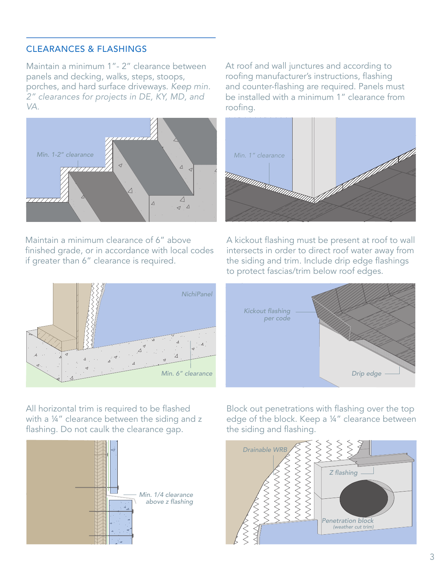# CLEARANCES & FLASHINGS

Maintain a minimum 1"- 2" clearance between panels and decking, walks, steps, stoops, porches, and hard surface driveways. *Keep min. 2" clearances for projects in DE, KY, MD, and VA.*



Maintain a minimum clearance of 6" above finished grade, or in accordance with local codes if greater than 6" clearance is required.



At roof and wall junctures and according to roofing manufacturer's instructions, flashing and counter-flashing are required. Panels must be installed with a minimum 1" clearance from roofing.



A kickout flashing must be present at roof to wall intersects in order to direct roof water away from the siding and trim. Include drip edge flashings to protect fascias/trim below roof edges.



All horizontal trim is required to be flashed with a 1/4" clearance between the siding and z flashing. Do not caulk the clearance gap.



Block out penetrations with flashing over the top edge of the block. Keep a ¼" clearance between the siding and flashing.